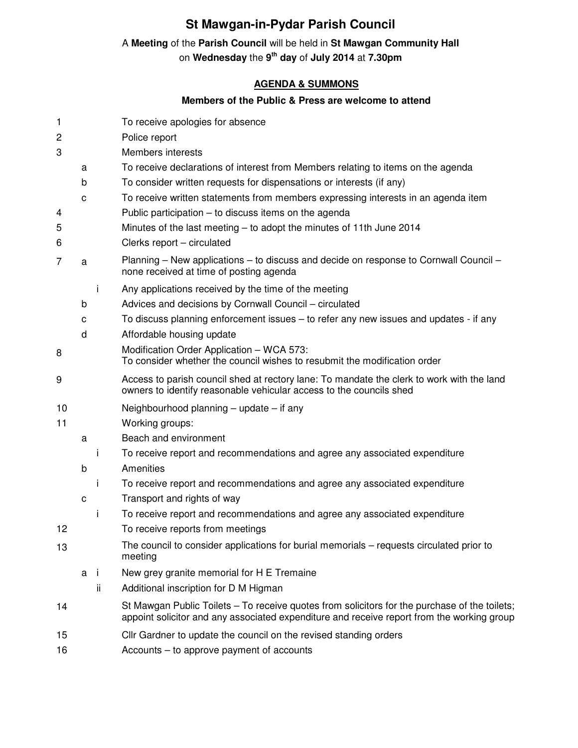## **St Mawgan-in-Pydar Parish Council**

## A **Meeting** of the **Parish Council** will be held in **St Mawgan Community Hall**

on **Wednesday** the **9 th day** of **July 2014** at **7.30pm** 

## **AGENDA & SUMMONS**

## **Members of the Public & Press are welcome to attend**

| 1      |   |     | To receive apologies for absence                                                                                                                                                            |
|--------|---|-----|---------------------------------------------------------------------------------------------------------------------------------------------------------------------------------------------|
| 2      |   |     | Police report                                                                                                                                                                               |
| 3      |   |     | <b>Members interests</b>                                                                                                                                                                    |
|        | a |     | To receive declarations of interest from Members relating to items on the agenda                                                                                                            |
|        | b |     | To consider written requests for dispensations or interests (if any)                                                                                                                        |
|        | C |     | To receive written statements from members expressing interests in an agenda item                                                                                                           |
| 4      |   |     | Public participation $-$ to discuss items on the agenda                                                                                                                                     |
| 5<br>6 |   |     | Minutes of the last meeting – to adopt the minutes of 11th June 2014<br>Clerks report - circulated                                                                                          |
| 7      | a |     | Planning – New applications – to discuss and decide on response to Cornwall Council –<br>none received at time of posting agenda                                                            |
|        |   | j.  | Any applications received by the time of the meeting                                                                                                                                        |
|        | b |     | Advices and decisions by Cornwall Council - circulated                                                                                                                                      |
|        | с |     | To discuss planning enforcement issues – to refer any new issues and updates - if any                                                                                                       |
|        | d |     | Affordable housing update                                                                                                                                                                   |
| 8      |   |     | Modification Order Application - WCA 573:<br>To consider whether the council wishes to resubmit the modification order                                                                      |
| 9      |   |     | Access to parish council shed at rectory lane: To mandate the clerk to work with the land<br>owners to identify reasonable vehicular access to the councils shed                            |
| 10     |   |     | Neighbourhood planning $-$ update $-$ if any                                                                                                                                                |
| 11     |   |     | Working groups:                                                                                                                                                                             |
|        | a |     | Beach and environment                                                                                                                                                                       |
|        | b | j.  | To receive report and recommendations and agree any associated expenditure<br>Amenities                                                                                                     |
|        |   | Ť   | To receive report and recommendations and agree any associated expenditure                                                                                                                  |
|        | C |     | Transport and rights of way                                                                                                                                                                 |
|        |   | Ť   | To receive report and recommendations and agree any associated expenditure                                                                                                                  |
| 12     |   |     | To receive reports from meetings                                                                                                                                                            |
| 13     |   |     | The council to consider applications for burial memorials – requests circulated prior to<br>meeting                                                                                         |
|        | a | -i  | New grey granite memorial for H E Tremaine                                                                                                                                                  |
|        |   | ii. | Additional inscription for D M Higman                                                                                                                                                       |
| 14     |   |     | St Mawgan Public Toilets – To receive quotes from solicitors for the purchase of the toilets;<br>appoint solicitor and any associated expenditure and receive report from the working group |
| 15     |   |     | Cllr Gardner to update the council on the revised standing orders                                                                                                                           |
| 16     |   |     | Accounts – to approve payment of accounts                                                                                                                                                   |